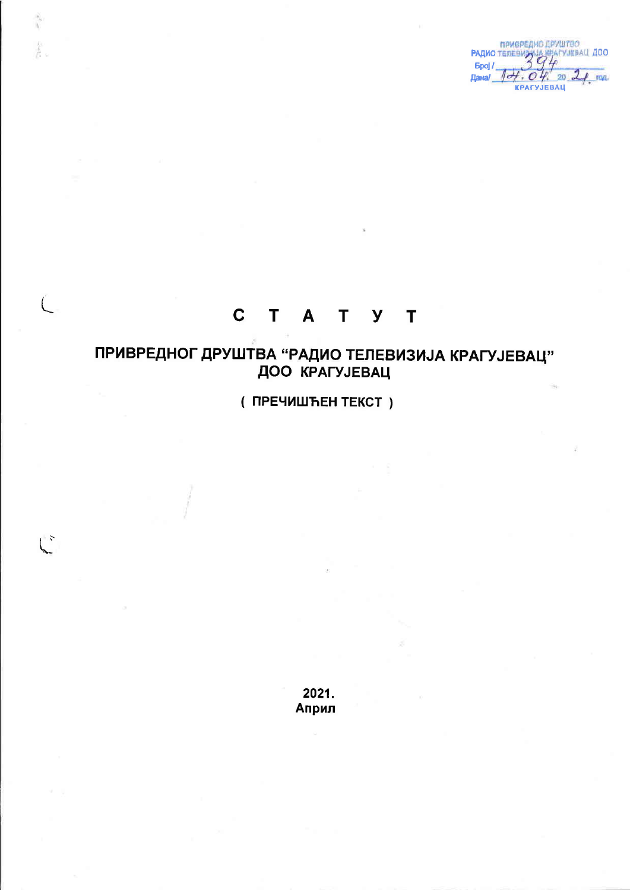**THE READ OF A SEARCH AND THE SALE OF A SEARCH AND CONTROLLED AND READ PARTY.**<br> **EDGI** / THE COLOR CONTROL OF A SALE OF THE READ PARTY. **КРАГУЈЕВАЦ** 

#### $\mathbf C$ T A T Y T

 $\frac{1}{\sqrt{2}}$ 

 $\mathsf{L}^{\pm}$ 

# ПРИВРЕДНОГ ДРУШТВА "РАДИО ТЕЛЕВИЗИЈА КРАГУЈЕВАЦ" ДОО КРАГУЈЕВАЦ

(ПРЕЧИШЋЕН ТЕКСТ)

2021. Април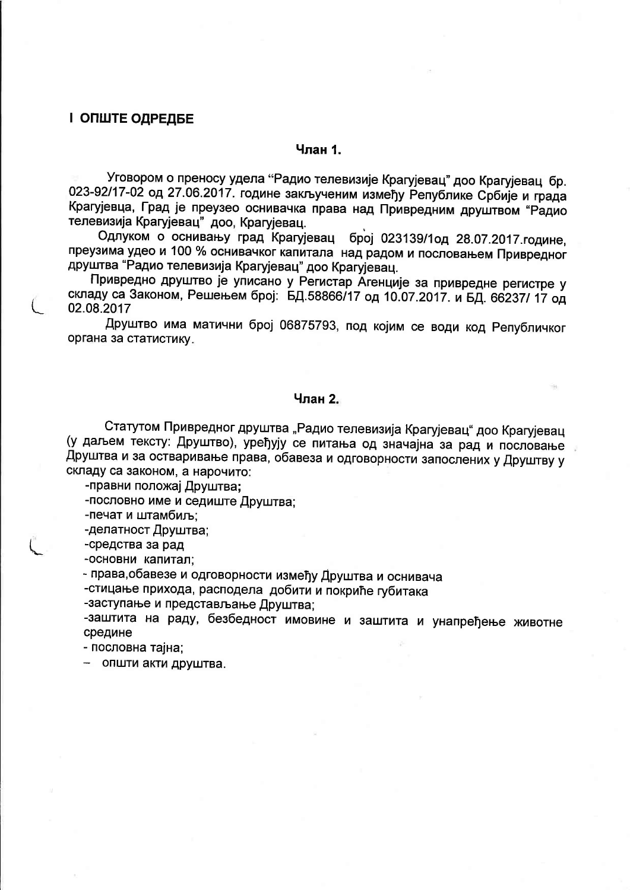## **I ОПШТЕ ОДРЕДБЕ**

 $\overline{\mathcal{L}}$ 

 $\overline{\phantom{a}}$ 

## I'lnar 1.

Уговором о преносу удела "Радио телевизије Крагујевац" доо Крагујевац бр. 023-92/17-02 од 27.06.2017. године закљученим између Републике Србије и града Крагујевца, Град је преузео оснивачка права над Привредним друштвом "Радио телевизија Крагујевац" доо, Крагујевац.

Одлуком о оснивању град Крагујевац број 023139/1од 28.07.2017.године, преузима удео и 100 % оснивачког капитала над радом и пословањем Привредног друштва "Радио телевизија Крагујевац" доо Крагујевац.

Привредно друштво је уписано у Регистар Агенције за привредне регистре у складу са Законом, Решењем број: БД 58866/17 од 10.07.2017. и БД. 66237/ 17 од 02.08.2017

Друштво има матични број 06875793, под којим се води код Републичког органа за статистику.

#### Члан 2.

Статутом Привредног друштва "Радио телевизија Крагујевац" доо Крагујевац<br>(у даљем тексту: Друштво), уређују се питања од значајна за рад и пословање Друштва и за остваривање права, обавеза и одговорности запослених у Друштву у складу са законом, а нарочито:

-правни положај Друштва;

-пословно име и седиште Друштва;

-печат и штамбиљ;

-делатност Друштва;

-средства за рад

-основни капитал;

- права,обавезе и одговорности између Друштва и оснивача

-стицање прихода, расподела добити и покриће губитака

-заступање и представљање Друштва;

-заштита на раду, безбедност имовине и заштита и унапређење животне средине

- пословна тајна;

 $-$  општи акти друштва.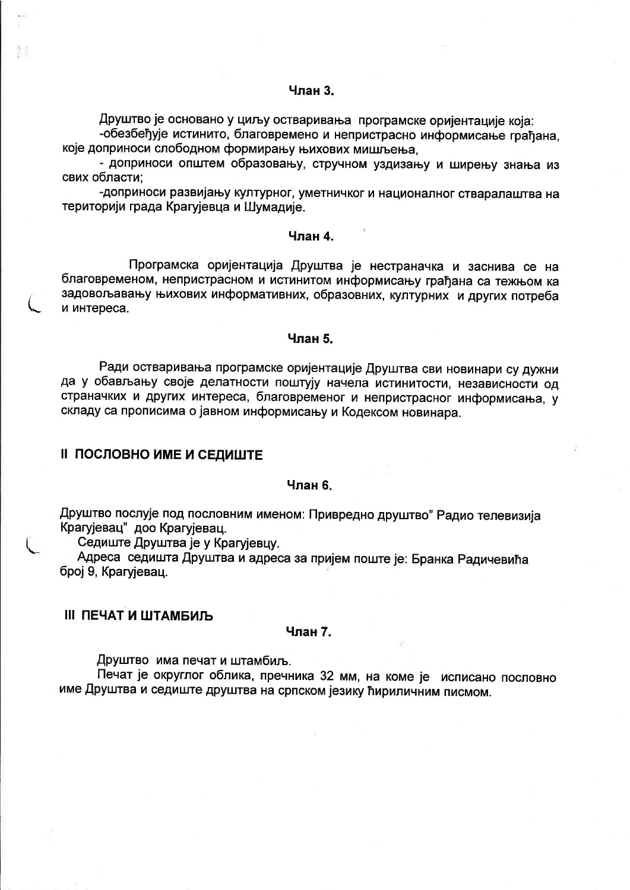#### $4$ пан $3$

Друштво је основано у циљу остваривања програмске оријентације која:

обезбеђује истинито, благовремено и непристрасно информисање грађана, које доприноси слободном формирању њихових мишљења,

- доприноси општем образовању, стручном уздизању и ширењу знања из свих области:

-доприноси развијању културног, уметничког и националног стваралаштва на територији града Крагујевца и Шумадије.

#### **Члан 4.**

Програмска оријентација Друштва је нестраначка и заснива се на благовременом, непристрасном и истинитом информисању грађана са тежњом ка задовољавању њихових информативних, образовних, културних и других потреба и интереса.

#### **Члан 5.**

Ради остваривања програмске оријентације Друштва сви новинари су дужни да у обављању своје делатности поштују начела истинитости, независности од страначких и других интереса, благовременог и непристрасног информисања, у складу са прописима о јавном информисању и Кодексом новинара.

## **II ПОСЛОВНО ИМЕ И СЕДИШТЕ**

#### Чпан 6

Друштво послује под пословним именом: Привредно друштво" Радио телевизија Крагујевац" доо Крагујевац.

Седиште Друштва је у Крагујевцу.

Адреса седишта Друштва и адреса за пријем поште је: Бранка Радичевића број 9, Крагујевац.

#### **III ПЕЧАТ И ШТАМБИЉ**

#### Члан 7.

Друштво има печат и штамбиљ.

Печат је округлог облика, пречника 32 мм, на коме је исписано пословно име Друштва и седиште друштва на српском језику ћириличним писмом.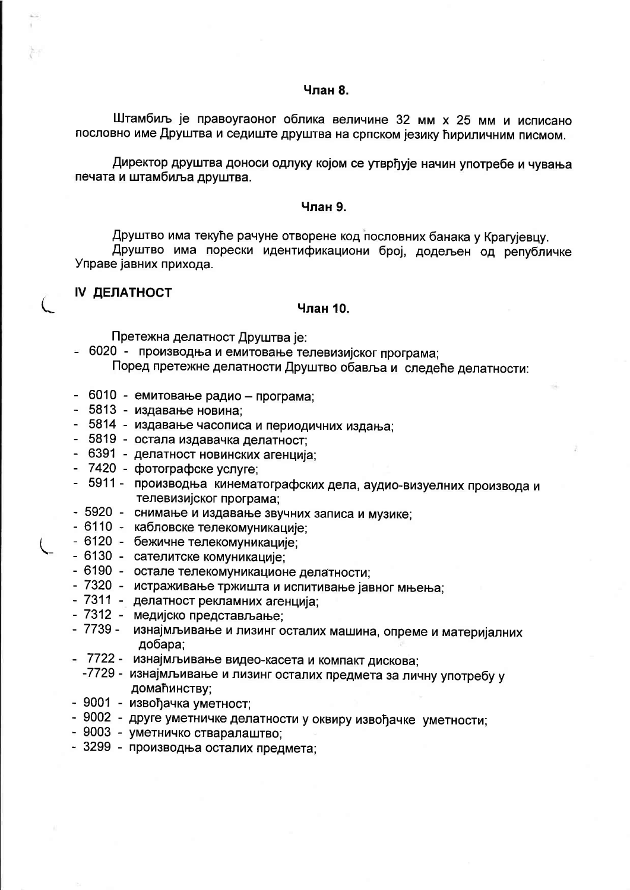#### $_{\text{Hau}$   $_{\text{R}}$

Штамбиљ је правоугаоног облика величине 32 мм х 25 мм и исписано пословно име Друштва и седиште друштва на српском језику ћириличним писмом.

Директор друштва доноси одлуку којом се утврђује начин употребе и чувања печата и штамбиља друштва.

#### Члан 9.

Друштво има текуће рачуне отворене код пословних банака у Крагујевцу.

Друштво има порески идентификациони број, додељен од републичке Управе јавних прихода.

### **IV ДЕЛАТНОСТ**

#### Члан 10.

Претежна делатност Друштва је:

- 6020 производња и емитовање телевизијског програма; Поред претежне делатности Друштво обавља и следеће делатности:
- 6010 емитовање радио програма;
- 5813 издавање новина;
- 5814 издавање часописа и периодичних издања;
- 5819 остала издавачка делатност;
- 6391 делатност новинских агенција;
- 7420 фотографске услуге;
- 5911 производња кинематографских дела, аудио-визуелних производа и телевизијског програма;
- 5920 снимање и издавање звучних записа и музике;
- 6110 кабловске телекомуникације;
- 6120 бежичне телекомуникације;
- 6130 сателитске комуникације;
- 6190 остале телекомуникационе делатности;
- 7320 истраживање тржишта и испитивање јавног мњења;
- 7311 делатност рекламних агенција;
- 7312 медијско представљање;
- $-7739$ изнајмљивање и лизинг осталих машина, опреме и материјалних добара:
- 7722 изнајмљивање видео-касета и компакт дискова;
	- -7729 изнајмљивање и лизинг осталих предмета за личну употребу у домаћинству;
- 9001 извођачка уметност;
- 9002 друге уметничке делатности у оквиру извођачке уметности;
- 9003 уметничко стваралаштво;
- 3299 производња осталих предмета;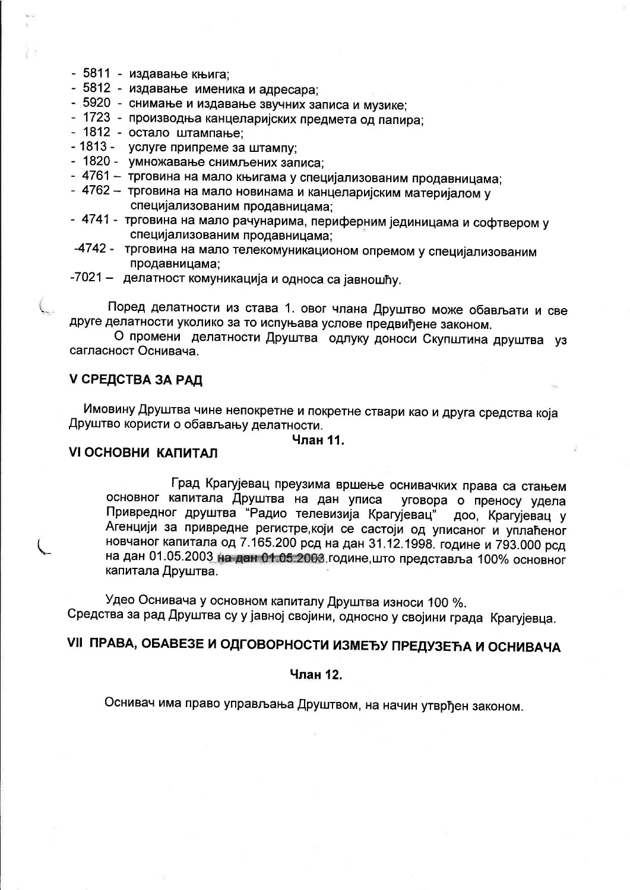- 5811 издавање књига;
- 5812 издавање именика и адресара;
- 5920 снимање и издавање звучних записа и музике;
- 1723 производња канцеларијских предмета од папира;
- 1812 остало штампање;
- 1813 услуге припреме за штампу:
- 1820 умножавање снимљених записа;
- 4761 трговина на мало књигама у специјализованим продавницама;
- 4762 трговина на мало новинама и канцеларијским материјалом у специјализованим продавницама;
- 4741 трговина на мало рачунарима, периферним јединицама и софтвером у специјализованим продавницама;
- -4742 трговина на мало телекомуникационом опремом у специјализованим продавницама;
- -7021 делатност комуникација и односа са јавношћу.

Поред делатности из става 1. овог члана Друштво може обављати и све друге делатности уколико за то испуњава услове предвиђене законом.

О промени делатности Друштва одлуку доноси Скупштина друштва уз сагласност Оснивача.

## **V СРЕДСТВА ЗА РАД**

Имовину Друштва чине непокретне и покретне ствари као и друга средства која Друштво користи о обављању делатности.

### Члан 11.

## **VI ОСНОВНИ КАПИТАЛ**

Град Крагујевац преузима вршење оснивачких права са стањем основног капитала Друштва на дан уписа уговора о преносу удела Привредног друштва "Радио телевизија Крагујевац" доо, Крагујевац у Агенцији за привредне регистре, који се састоји од уписаног и уплаћеног новчаног капитала од 7.165.200 рсд на дан 31.12.1998. године и 793.000 рсд на дан 01.05.2003 на дан 01.05.2003.године,што представља 100% основног капитала Друштва.

Удео Оснивача у основном капиталу Друштва износи 100 %. Средства за рад Друштва су у јавној својини, односно у својини града Крагујевца.

# **VII ПРАВА, ОБАВЕЗЕ И ОДГОВОРНОСТИ ИЗМЕЂУ ПРЕДУЗЕЋА И ОСНИВАЧА**

#### Члан 12.

Оснивач има право управљања Друштвом, на начин утврђен законом.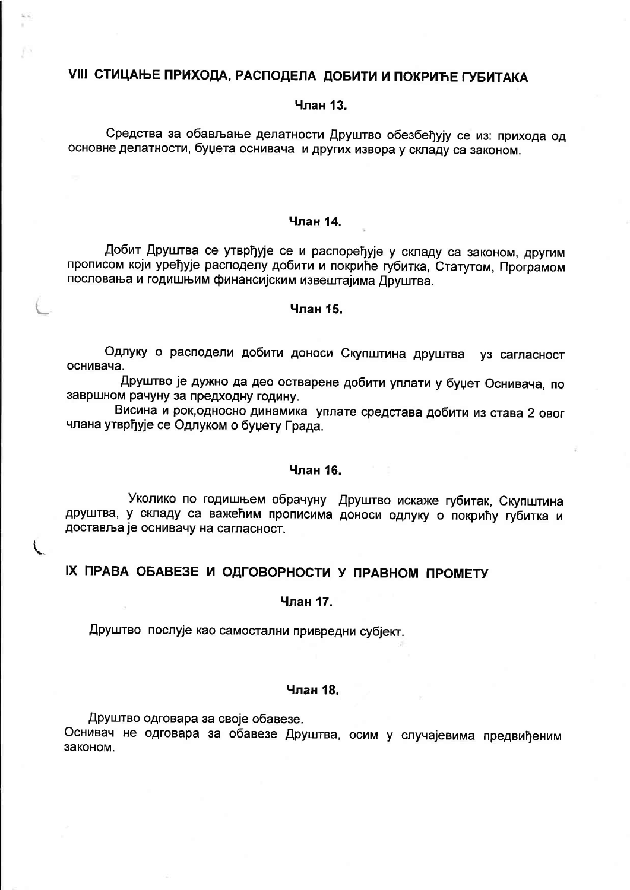## **VIII СТИЦАЊЕ ПРИХОДА, РАСПОДЕЛА ДОБИТИ И ПОКРИЋЕ ГУБИТАКА**

### Члан 13.

Средства за обављање делатности Друштво обезбеђују се из: прихода од основне делатности. буцета оснивача и других извора у складу са законом.

## Члан 14.

Добит Друштва се утврђује се и распоређује у складу са законом, другим прописом који уређује расподелу добити и покриће губитка, Статутом, Програмом пословања и годишњим финансијским извештајима Друштва.

### Члан 15.

Одлуку о расподели добити доноси Скупштина друштва уз сагласност оснивача.

Друштво је дужно да део остварене добити уплати у буџет Оснивача, по завршном рачуну за предходну годину.

Висина и рок, односно динамика уплате средстава добити из става 2 овог члана утврђује се Одлуком о буџету Града.

#### **Члан 16.**

Уколико по годишњем обрачуну Друштво искаже губитак, Скупштина друштва, у складу са важећим прописима доноси одлуку о покрићу губитка и доставља је оснивачу на сагласност.

## IX ПРАВА ОБАВЕЗЕ И ОДГОВОРНОСТИ У ПРАВНОМ ПРОМЕТУ

#### Члан 17.

Друштво послује као самостални привредни субјект.

## Члан 18.

Друштво одговара за своје обавезе.

Оснивач не одговара за обавезе Друштва, осим у случајевима предвиђеним законом.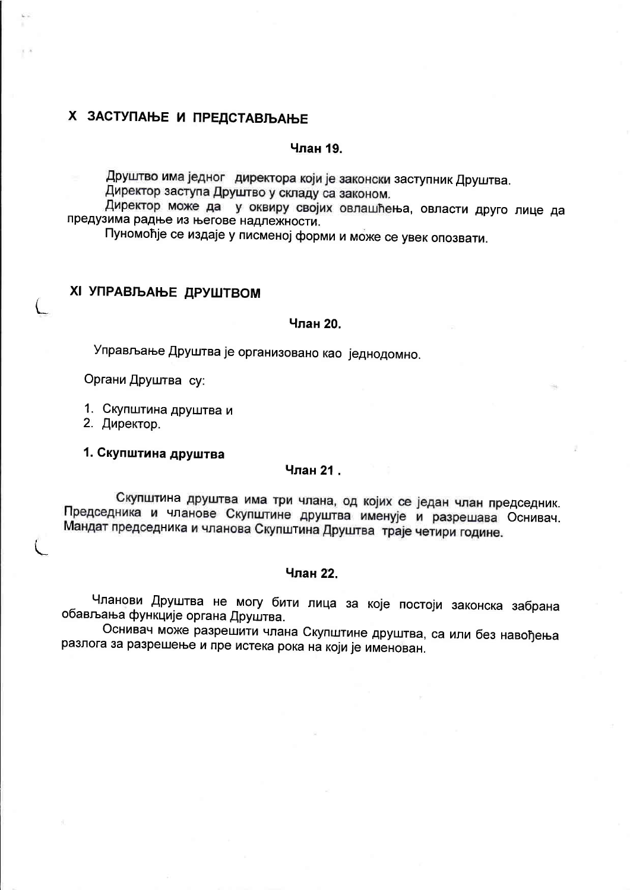## Х ЗАСТУПАЊЕ И ПРЕДСТАВЉАЊЕ

## Члан 19

Друштво има једног директора који је законски заступник Друштва. Директор заступа Друштво у складу са законом.

Директор може да у оквиру својих овлашћења, овласти друго лице да предузима радње из његове надлежности.

Пуномоћје се издаје у писменој форми и може се увек опозвати.

## ХІ УПРАВЉАЊЕ ДРУШТВОМ

## Члан 20.

Управљање Друштва је организовано као једнодомно.

Органи Друштва су:

1. Скупштина друштва и

2. Директор.

## 1. Скупштина друштва

## Члан 21.

Скупштина друштва има три члана, од којих се један члан председник. Председника и чланове Скупштине друштва именује и разрешава Оснивач. Мандат председника и чланова Скупштина Друштва траје четири године.

## Члан 22.

Чланови Друштва не могу бити лица за које постоји законска забрана обављања функције органа Друштва.

Оснивач може разрешити члана Скупштине друштва, са или без навођења разлога за разрешење и пре истека рока на који је именован.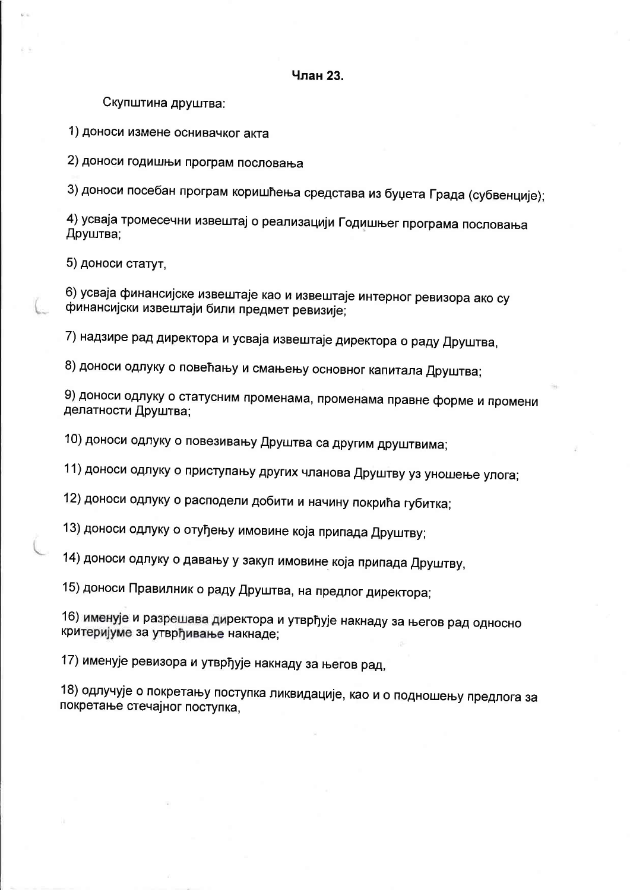### Члан 23

Скупштина друштва:

1) доноси измене оснивачког акта

2) доноси годишњи програм пословања

3) доноси посебан програм коришћења средстава из буџета Града (субвенције);

4) усваја тромесечни извештај о реализацији Годишњег програма пословања Друштва:

5) доноси статут,

6) усваја финансијске извештаје као и извештаје интерног ревизора ако су финансијски извештаји били предмет ревизије;

7) надзире рад директора и усваја извештаје директора о раду Друштва,

8) доноси одлуку о повећању и смањењу основног капитала Друштва;

9) доноси одлуку о статусним променама, променама правне форме и промени делатности Друштва;

10) доноси одлуку о повезивању Друштва са другим друштвима;

11) доноси одлуку о приступању других чланова Друштву уз уношење улога;

12) доноси одлуку о расподели добити и начину покрића губитка;

13) доноси одлуку о отуђењу имовине која припада Друштву;

14) доноси одлуку о давању у закуп имовине која припада Друштву,

15) доноси Правилник о раду Друштва, на предлог директора;

16) именује и разрешава директора и утврђује накнаду за његов рад односно критеријуме за утврђивање накнаде;

17) именује ревизора и утврђује накнаду за његов рад,

18) одлучује о покретању поступка ликвидације, као и о подношењу предлога за покретање стечајног поступка,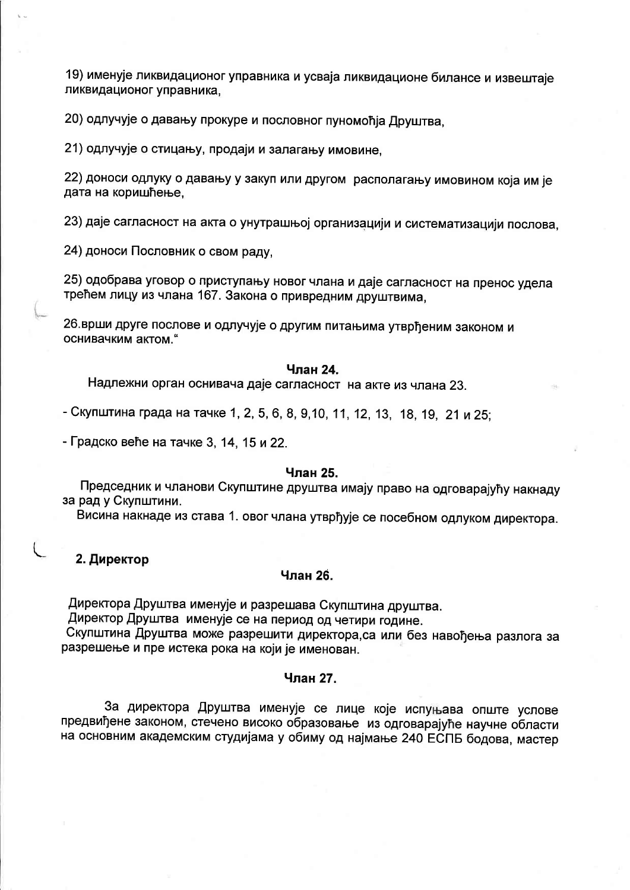19) именује ликвидационог управника и усваја ликвидационе билансе и извештаје ликвидационог управника.

20) одлучује о давању прокуре и пословног пуномоћја Друштва,

21) одлучује о стицању, продаји и залагању имовине.

22) доноси одлуку о давању у закуп или другом располагању имовином која им је дата на коришћење.

23) даје сагласност на акта о унутрашњој организацији и систематизацији послова,

24) доноси Пословник о свом раду.

25) одобрава уговор о приступању новог члана и даје сагласност на пренос удела трећем лицу из члана 167. Закона о привредним друштвима,

26. врши друге послове и одлучује о другим питањима утврђеним законом и оснивачким актом."

### Члан 24.

Надлежни орган оснивача даје сагласност на акте из члана 23.

- Скупштина града на тачке 1, 2, 5, 6, 8, 9, 10, 11, 12, 13, 18, 19, 21 и 25;

- Градско веће на тачке 3, 14, 15 и 22.

#### Члан 25.

Председник и чланови Скупштине друштва имају право на одговарајућу накнаду за рад у Скупштини.

Висина накнаде из става 1. овог члана утврђује се посебном одлуком директора.

#### 2. Директор

## Члан 26.

Директора Друштва именује и разрешава Скупштина друштва.

Директор Друштва именује се на период од четири године.

Скупштина Друштва може разрешити директора, са или без навођења разлога за разрешење и пре истека рока на који је именован.

## Члан 27.

За директора Друштва именује се лице које испуњава опште услове предвиђене законом, стечено високо образовање из одговарајуће научне области на основним академским студијама у обиму од најмање 240 ЕСПБ бодова, мастер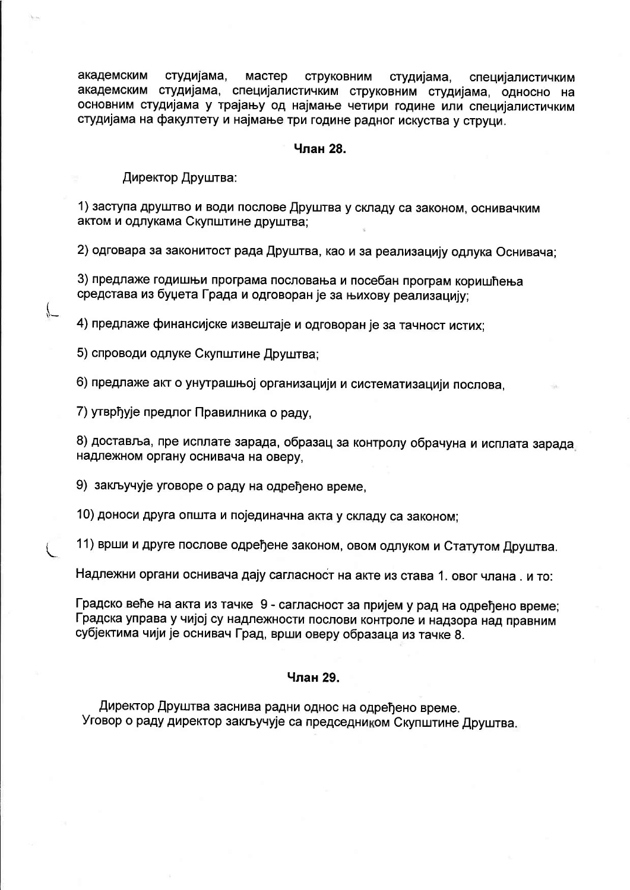академским студијама, мастер СТРУКОВНИМ студијама. специјалистичким академским студијама, специјалистичким струковним студијама, односно на основним студијама у трајању од најмање четири године или специјалистичким студијама на факултету и најмање три године радног искуства у струци.

## Члан 28.

Директор Друштва:

1) заступа друштво и води послове Друштва у складу са законом, оснивачким актом и одлукама Скупштине друштва;

2) одговара за законитост рада Друштва, као и за реализацију одлука Оснивача;

3) предлаже годишњи програма пословања и посебан програм коришћења средстава из буџета Града и одговоран је за њихову реализацију;

4) предлаже финансијске извештаје и одговоран је за тачност истих;

5) спроводи одлуке Скупштине Друштва;

6) предлаже акт о унутрашњој организацији и систематизацији послова,

7) утврђује предлог Правилника о раду,

8) доставља, пре исплате зарада, образац за контролу обрачуна и исплата зарада надлежном органу оснивача на оверу,

9) закључује уговоре о раду на одређено време,

10) доноси друга општа и појединачна акта у складу са законом;

11) врши и друге послове одређене законом, овом одлуком и Статутом Друштва.

Надлежни органи оснивача дају сагласност на акте из става 1. овог члана. и то:

Градско веће на акта из тачке 9 - сагласност за пријем у рад на одређено време; Градска управа у чијој су надлежности послови контроле и надзора над правним субјектима чији је оснивач Град, врши оверу образаца из тачке 8.

### Члан 29.

Директор Друштва заснива радни однос на одређено време. Уговор о раду директор закључује са председником Скупштине Друштва.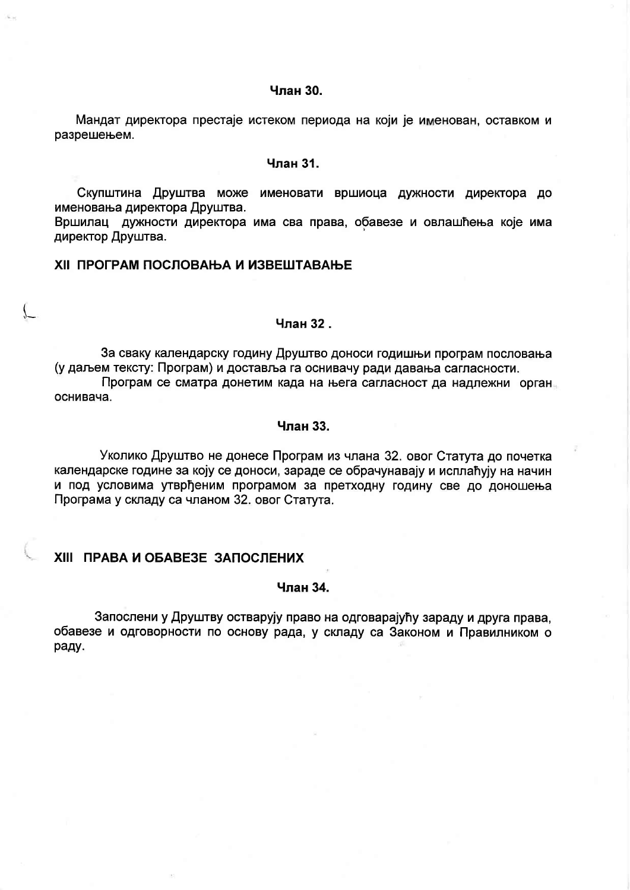#### Члан 30.

Мандат директора престаје истеком периода на који је именован, оставком и разрешењем.

#### Члан 31.

Скупштина Друштва може именовати вршиоца дужности директора до именовања директора Друштва.

Вршилац дужности директора има сва права, обавезе и овлашћења које има директор Друштва.

## ХІІ ПРОГРАМ ПОСЛОВАЊА И ИЗВЕШТАВАЊЕ

### Члан 32.

За сваку календарску годину Друштво доноси годишњи програм пословања (у даљем тексту: Програм) и доставља га оснивачу ради давања сагласности. Програм се сматра донетим када на њега сагласност да надлежни орган оснивача.

#### Члан 33.

Уколико Друштво не донесе Програм из члана 32. овог Статута до почетка календарске године за коју се доноси, зараде се обрачунавају и исплаћују на начин и под условима утврђеним програмом за претходну годину све до доношења Програма у складу са чланом 32. овог Статута.

#### **XIII ПРАВА И ОБАВЕЗЕ ЗАПОСЛЕНИХ**

#### Члан 34.

Запослени у Друштву остварују право на одговарајућу зараду и друга права, обавезе и одговорности по основу рада, у складу са Законом и Правилником о раду.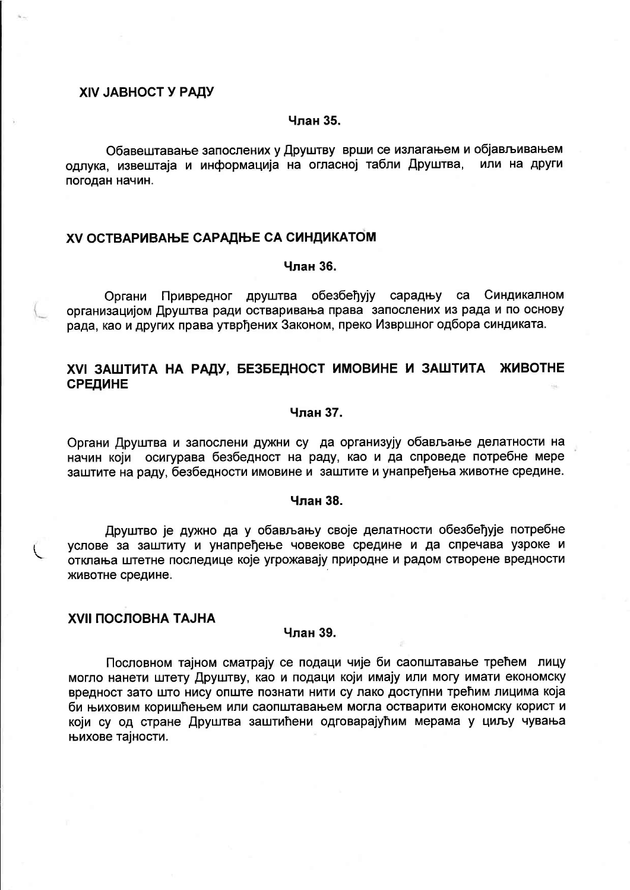### **XIV JABHOCT У РАДУ**

#### Члан 35.

Обавештавање запослених у Друштву врши се излагањем и објављивањем одлука, извештаја и информација на огласној табли Друштва, или на други погодан начин.

## ХУ ОСТВАРИВАЊЕ САРАДЊЕ СА СИНДИКАТОМ

Члан 36.

Органи Привредног друштва обезбеђују сарадњу са Синдикалном организацијом Друштва ради остваривања права запослених из рада и по основу рада, као и других права утврђених Законом, преко Извршног одбора синдиката.

## ХVІ ЗАШТИТА НА РАДУ, БЕЗБЕДНОСТ ИМОВИНЕ И ЗАШТИТА ЖИВОТНЕ **СРЕДИНЕ**

## Члан 37.

Органи Друштва и запослени дужни су да организују обављање делатности на начин који осигурава безбедност на раду, као и да спроведе потребне мере заштите на раду, безбедности имовине и заштите и унапређења животне средине.

#### Члан 38.

Друштво је дужно да у обављању своје делатности обезбеђује потребне услове за заштиту и унапређење човекове средине и да спречава узроке и отклања штетне последице које угрожавају природне и радом створене вредности животне средине.

## **XVII ПОСЛОВНА ТАЈНА**

#### Члан 39.

Пословном тајном сматрају се подаци чије би саопштавање трећем лицу могло нанети штету Друштву, као и подаци који имају или могу имати економску вредност зато што нису опште познати нити су лако доступни трећим лицима која би њиховим коришћењем или саопштавањем могла остварити економску корист и који су од стране Друштва заштићени одговарајућим мерама у циљу чувања њихове тајности.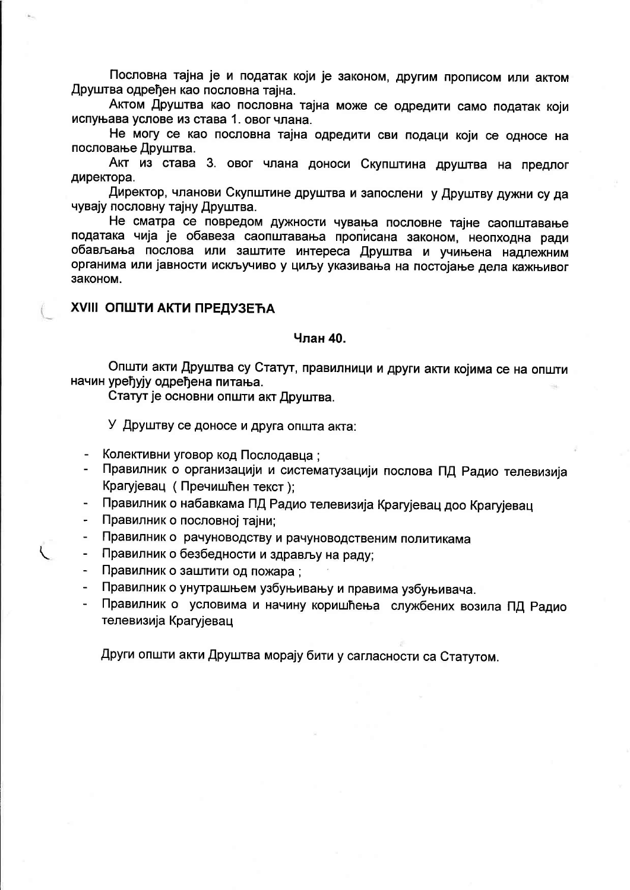Пословна тајна је и податак који је законом, другим прописом или актом Друштва одређен као пословна тајна.

Актом Друштва као пословна тајна може се одредити само податак који испуњава услове из става 1. овог члана.

Не могу се као пословна тајна одредити сви подаци који се односе на пословање Друштва.

Акт из става 3. овог члана доноси Скупштина друштва на предлог директора.

Директор, чланови Скупштине друштва и запослени у Друштву дужни су да чувају пословну тајну Друштва.

Не сматра се повредом дужности чувања пословне тајне саопштавање података чија је обавеза саопштавања прописана законом, неопходна ради обављања послова или заштите интереса Друштва и учињена надлежним органима или јавности искључиво у циљу указивања на постојање дела кажњивог законом.

## **ХVIII ОПШТИ АКТИ ПРЕДУЗЕЋА**

#### Члан 40.

Општи акти Друштва су Статут, правилници и други акти којима се на општи начин уређују одређена питања.

Статут је основни општи акт Друштва.

У Друштву се доносе и друга општа акта:

- Колективни уговор код Послодавца;
- Правилник о организацији и систематузацији послова ПД Радио телевизија Крагујевац (Пречишћен текст);
- Правилник о набавкама ПД Радио телевизија Крагујевац доо Крагујевац
- Правилник о пословној тајни;
- Правилник о рачуноводству и рачуноводственим политикама
- Правилник о безбедности и здрављу на раду;
- Правилник о заштити од пожара;
- Правилник о унутрашњем узбуњивању и правима узбуњивача.
- Правилник о условима и начину коришћења службених возила ПД Радио телевизија Крагујевац

Други општи акти Друштва морају бити у сагласности са Статутом.